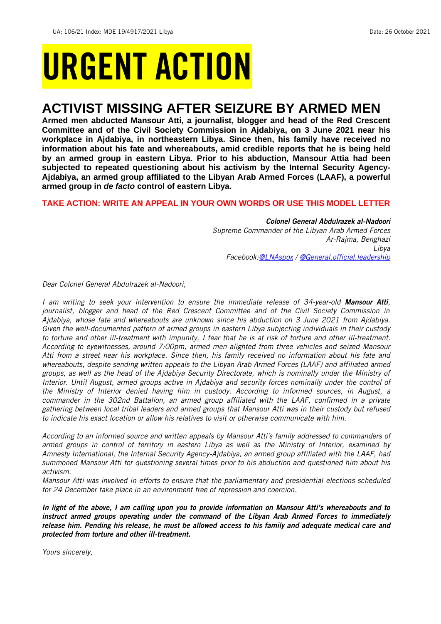# URGENT ACTION

## **ACTIVIST MISSING AFTER SEIZURE BY ARMED MEN**

**Armed men abducted Mansour Atti, a journalist, blogger and head of the Red Crescent Committee and of the Civil Society Commission in Ajdabiya, on 3 June 2021 near his workplace in Ajdabiya, in northeastern Libya. Since then, his family have received no information about his fate and whereabouts, amid credible reports that he is being held by an armed group in eastern Libya. Prior to his abduction, Mansour Attia had been subjected to repeated questioning about his activism by the Internal Security Agency-Ajdabiya, an armed group affiliated to the Libyan Arab Armed Forces (LAAF), a powerful armed group in** *de facto* **control of eastern Libya.**

#### **TAKE ACTION: WRITE AN APPEAL IN YOUR OWN WORDS OR USE THIS MODEL LETTER**

*Colonel General Abdulrazek al-Nadoori Supreme Commander of the Libyan Arab Armed Forces Ar-Rajma, Benghazi Libya Facebook[:@LNAspox](https://www.facebook.com/LNAspox) / [@General.official.leadership](https://www.facebook.com/General.official.leadership/)*

*Dear Colonel General Abdulrazek al-Nadoori,*

*I am writing to seek your intervention to ensure the immediate release of 34-year-old Mansour Atti, journalist, blogger and head of the Red Crescent Committee and of the Civil Society Commission in Ajdabiya, whose fate and whereabouts are unknown since his abduction on 3 June 2021 from Ajdabiya. Given the well-documented pattern of armed groups in eastern Libya subjecting individuals in their custody to torture and other ill-treatment with impunity, I fear that he is at risk of torture and other ill-treatment. According to eyewitnesses, around 7:00pm, armed men alighted from three vehicles and seized Mansour Atti from a street near his workplace. Since then, his family received no information about his fate and whereabouts, despite sending written appeals to the Libyan Arab Armed Forces (LAAF) and affiliated armed groups, as well as the head of the Ajdabiya Security Directorate, which is nominally under the Ministry of Interior. Until August, armed groups active in Ajdabiya and security forces nominally under the control of the Ministry of Interior denied having him in custody. According to informed sources, in August, a commander in the 302nd Battalion, an armed group affiliated with the LAAF, confirmed in a private gathering between local tribal leaders and armed groups that Mansour Atti was in their custody but refused to indicate his exact location or allow his relatives to visit or otherwise communicate with him.*

*According to an informed source and written appeals by Mansour Atti's family addressed to commanders of armed groups in control of territory in eastern Libya as well as the Ministry of Interior, examined by Amnesty International, the Internal Security Agency-Ajdabiya, an armed group affiliated with the LAAF, had summoned Mansour Atti for questioning several times prior to his abduction and questioned him about his activism.*

*Mansour Atti was involved in efforts to ensure that the parliamentary and presidential elections scheduled for 24 December take place in an environment free of repression and coercion.*

*In light of the above, I am calling upon you to provide information on Mansour Atti's whereabouts and to instruct armed groups operating under the command of the Libyan Arab Armed Forces to immediately release him. Pending his release, he must be allowed access to his family and adequate medical care and protected from torture and other ill-treatment.*

*Yours sincerely,*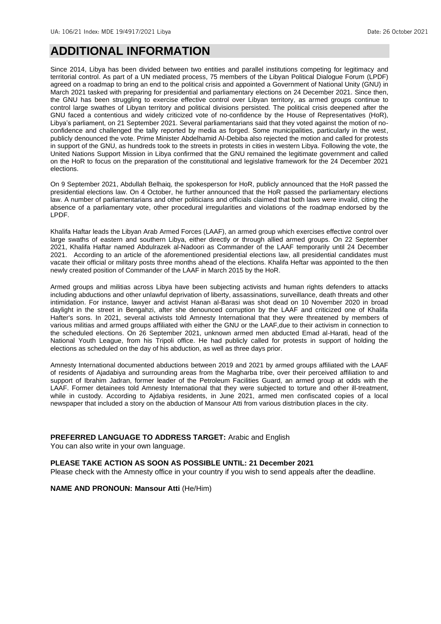### **ADDITIONAL INFORMATION**

Since 2014, Libya has been divided between two entities and parallel institutions competing for legitimacy and territorial control. As part of a UN mediated process, 75 members of the Libyan Political Dialogue Forum (LPDF) agreed on a roadmap to bring an end to the political crisis and appointed a Government of National Unity (GNU) in March 2021 tasked with preparing for presidential and parliamentary elections on 24 December 2021. Since then, the GNU has been struggling to exercise effective control over Libyan territory, as armed groups continue to control large swathes of Libyan territory and political divisions persisted. The political crisis deepened after the GNU faced a contentious and widely criticized vote of no-confidence by the House of Representatives (HoR), Libya's parliament, on 21 September 2021. Several parliamentarians said that they voted against the motion of noconfidence and challenged the tally reported by media as forged. Some municipalities, particularly in the west, publicly denounced the vote. Prime Minister Abdelhamid Al-Debiba also rejected the motion and called for protests in support of the GNU, as hundreds took to the streets in protests in cities in western Libya. Following the vote, the United Nations Support Mission in Libya confirmed that the GNU remained the legitimate government and called on the HoR to focus on the preparation of the constitutional and legislative framework for the 24 December 2021 elections.

On 9 September 2021, Abdullah Belhaiq, the spokesperson for HoR, publicly announced that the HoR passed the presidential elections law. On 4 October, he further announced that the HoR passed the parliamentary elections law. A number of parliamentarians and other politicians and officials claimed that both laws were invalid, citing the absence of a parliamentary vote, other procedural irregularities and violations of the roadmap endorsed by the LPDF.

Khalifa Haftar leads the Libyan Arab Armed Forces (LAAF), an armed group which exercises effective control over large swaths of eastern and southern Libya, either directly or through allied armed groups. On 22 September 2021, Khalifa Haftar named Abdulrazek al-Nadoori as Commander of the LAAF temporarily until 24 December 2021. According to an article of the aforementioned presidential elections law, all presidential candidates must vacate their official or military posts three months ahead of the elections. Khalifa Heftar was appointed to the then newly created position of Commander of the LAAF in March 2015 by the HoR.

Armed groups and militias across Libya have been subjecting activists and human rights defenders to attacks including abductions and other unlawful deprivation of liberty, assassinations, surveillance, death threats and other intimidation. For instance, lawyer and activist Hanan al-Barasi was shot dead on 10 November 2020 in broad daylight in the street in Bengahzi, after she denounced corruption by the LAAF and criticized one of Khalifa Hafter's sons. In 2021, several activists told Amnesty International that they were threatened by members of various militias and armed groups affiliated with either the GNU or the LAAF,due to their activism in connection to the scheduled elections. On 26 September 2021, unknown armed men abducted Emad al-Harati, head of the National Youth League, from his Tripoli office. He had publicly called for protests in support of holding the elections as scheduled on the day of his abduction, as well as three days prior.

Amnesty International documented abductions between 2019 and 2021 by armed groups affiliated with the LAAF of residents of Ajadabiya and surrounding areas from the Magharba tribe, over their perceived affiliation to and support of Ibrahim Jadran, former leader of the Petroleum Facilities Guard, an armed group at odds with the LAAF. Former detainees told Amnesty International that they were subjected to torture and other ill-treatment, while in custody. According to Ajdabiya residents, in June 2021, armed men confiscated copies of a local newspaper that included a story on the abduction of Mansour Atti from various distribution places in the city.

#### **PREFERRED LANGUAGE TO ADDRESS TARGET:** Arabic and English

You can also write in your own language.

#### **PLEASE TAKE ACTION AS SOON AS POSSIBLE UNTIL: 21 December 2021**

Please check with the Amnesty office in your country if you wish to send appeals after the deadline.

**NAME AND PRONOUN: Mansour Atti** (He/Him)